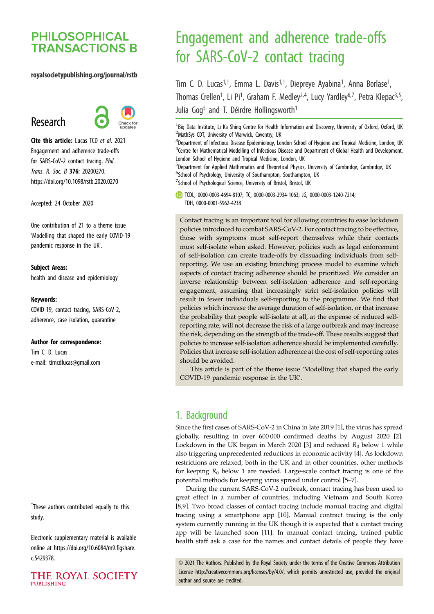## **PHILOSOPHICAL TRANSACTIONS B**

#### royalsocietypublishing.org/journal/rstb

# Research



Cite this article: Lucas TCD et al. 2021 Engagement and adherence trade-offs for SARS-CoV-2 contact tracing. Phil. Trans. R. Soc. B 376: 20200270. https://doi.org/10.1098/rstb.2020.0270

Accepted: 24 October 2020

One contribution of 21 to a theme issue '[Modelling that shaped the early COVID-19](http://dx.doi.org/10.1098/rstb/376/1829) [pandemic response in the UK](http://dx.doi.org/10.1098/rstb/376/1829)'.

#### Subject Areas:

health and disease and epidemiology

#### Keywords:

COVID-19, contact tracing, SARS-CoV-2, adherence, case isolation, quarantine

#### Author for correspondence:

Tim C. D. Lucas e-mail: [timcdlucas@gmail.com](mailto:timcdlucas@gmail.com)

<sup>†</sup>These authors contributed equally to this study.

Electronic supplementary material is available online at [https://doi.org/10.6084/m9.figshare.](https://doi.org/10.6084/m9.figshare.c.5429378) [c.5429378.](https://doi.org/10.6084/m9.figshare.c.5429378)

THE ROYAL SOCIETY **PUBLISHING** 

# Engagement and adherence trade-offs for SARS-CoV-2 contact tracing

Tim C. D. Lucas<sup>1,†</sup>, Emma L. Davis<sup>1,†</sup>, Diepreye Ayabina<sup>1</sup>, Anna Borlase<sup>1</sup> , Thomas Crellen<sup>1</sup>, Li Pi<sup>1</sup>, Graham F. Medley<sup>2,4</sup>, Lucy Yardley<sup>6,7</sup>, Petra Klepac<sup>3,5</sup>, Julia Gog<sup>5</sup> and T. Déirdre Hollingsworth<sup>1</sup>

<sup>1</sup> Big Data Institute, Li Ka Shing Centre for Health Information and Discovery, University of Oxford, Oxford, UK <sup>2</sup>MathSys CDT, University of Warwick, Coventry, UK

<sup>3</sup>Department of Infectious Disease Epidemiology, London School of Hygiene and Tropical Medicine, London, UK <sup>4</sup>Centre for Mathematical Modelling of Infectious Disease and Department of Global Health and Development, London School of Hygiene and Tropical Medicine, London, UK

<sup>5</sup>Department for Applied Mathematics and Theoretical Physics, University of Cambridge, Cambridge, UK <sup>6</sup>School of Psychology, University of Southampton, Southampton, UK

 $7$ School of Psychological Science, University of Bristol, Bristol, UK

TCDL, [0000-0003-4694-8107;](http://orcid.org/0000-0003-4694-8107) TC, [0000-0003-2934-1063](http://orcid.org/0000-0003-2934-1063); JG, [0000-0003-1240-7214](http://orcid.org/0000-0003-1240-7214); TDH, [0000-0001-5962-4238](http://orcid.org/0000-0001-5962-4238)

Contact tracing is an important tool for allowing countries to ease lockdown policies introduced to combat SARS-CoV-2. For contact tracing to be effective, those with symptoms must self-report themselves while their contacts must self-isolate when asked. However, policies such as legal enforcement of self-isolation can create trade-offs by dissuading individuals from selfreporting. We use an existing branching process model to examine which aspects of contact tracing adherence should be prioritized. We consider an inverse relationship between self-isolation adherence and self-reporting engagement, assuming that increasingly strict self-isolation policies will result in fewer individuals self-reporting to the programme. We find that policies which increase the average duration of self-isolation, or that increase the probability that people self-isolate at all, at the expense of reduced selfreporting rate, will not decrease the risk of a large outbreak and may increase the risk, depending on the strength of the trade-off. These results suggest that policies to increase self-isolation adherence should be implemented carefully. Policies that increase self-isolation adherence at the cost of self-reporting rates should be avoided.

This article is part of the theme issue 'Modelling that shaped the early COVID-19 pandemic response in the UK'.

## 1. Background

Since the first cases of SARS-CoV-2 in China in late 2019 [[1](#page-7-0)], the virus has spread globally, resulting in over 600 000 confirmed deaths by August 2020 [\[2\]](#page-7-0). Lockdown in the UK began in March 2020 [[3](#page-7-0)] and reduced  $R_0$  below 1 while also triggering unprecedented reductions in economic activity [[4](#page-7-0)]. As lockdown restrictions are relaxed, both in the UK and in other countries, other methods for keeping  $R_0$  below 1 are needed. Large-scale contact tracing is one of the potential methods for keeping virus spread under control [\[5](#page-7-0)–[7\]](#page-7-0).

During the current SARS-CoV-2 outbreak, contact tracing has been used to great effect in a number of countries, including Vietnam and South Korea [[8](#page-7-0),[9](#page-7-0)]. Two broad classes of contact tracing include manual tracing and digital tracing using a smartphone app [\[10](#page-7-0)]. Manual contract tracing is the only system currently running in the UK though it is expected that a contact tracing app will be launched soon [\[11\]](#page-7-0). In manual contact tracing, trained public health staff ask a case for the names and contact details of people they have

© 2021 The Authors. Published by the Royal Society under the terms of the Creative Commons Attribution License<http://creativecommons.org/licenses/by/4.0/>, which permits unrestricted use, provided the original author and source are credited.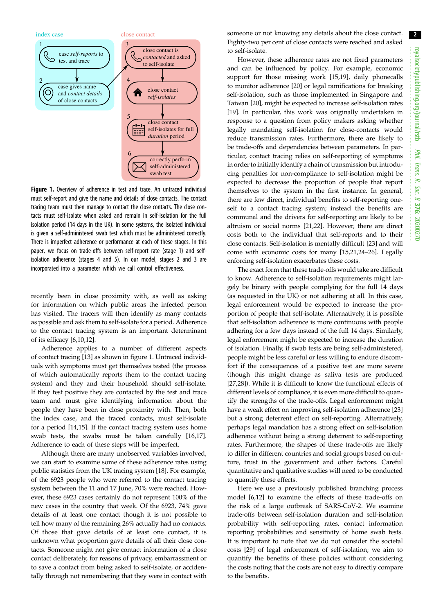

Figure 1. Overview of adherence in test and trace. An untraced individual must self-report and give the name and details of close contacts. The contact tracing team must then manage to contact the close contacts. The close contacts must self-isolate when asked and remain in self-isolation for the full isolation period (14 days in the UK). In some systems, the isolated individual is given a self-administered swab test which must be administered correctly. There is imperfect adherence or performance at each of these stages. In this paper, we focus on trade-offs between self-report rate (stage 1) and selfisolation adherence (stages 4 and 5). In our model, stages 2 and 3 are incorporated into a parameter which we call control effectiveness.

recently been in close proximity with, as well as asking for information on which public areas the infected person has visited. The tracers will then identify as many contacts as possible and ask them to self-isolate for a period. Adherence to the contact tracing system is an important determinant of its efficacy [[6,10](#page-7-0),[12\]](#page-7-0).

Adherence applies to a number of different aspects of contact tracing [\[13](#page-7-0)] as shown in figure 1. Untraced individuals with symptoms must get themselves tested (the process of which automatically reports them to the contact tracing system) and they and their household should self-isolate. If they test positive they are contacted by the test and trace team and must give identifying information about the people they have been in close proximity with. Then, both the index case, and the traced contacts, must self-isolate for a period [\[14](#page-7-0),[15\]](#page-7-0). If the contact tracing system uses home swab tests, the swabs must be taken carefully [\[16,17](#page-7-0)]. Adherence to each of these steps will be imperfect.

Although there are many unobserved variables involved, we can start to examine some of these adherence rates using public statistics from the UK tracing system [[18\]](#page-7-0). For example, of the 6923 people who were referred to the contact tracing system between the 11 and 17 June, 70% were reached. However, these 6923 cases certainly do not represent 100% of the new cases in the country that week. Of the 6923, 74% gave details of at least one contact though it is not possible to tell how many of the remaining 26% actually had no contacts. Of those that gave details of at least one contact, it is unknown what proportion gave details of all their close contacts. Someone might not give contact information of a close contact deliberately, for reasons of privacy, embarrassment or to save a contact from being asked to self-isolate, or accidentally through not remembering that they were in contact with

someone or not knowing any details about the close contact. Eighty-two per cent of close contacts were reached and asked to self-isolate.

However, these adherence rates are not fixed parameters and can be influenced by policy. For example, economic support for those missing work [\[15](#page-7-0)[,19](#page-8-0)], daily phonecalls to monitor adherence [[20\]](#page-8-0) or legal ramifications for breaking self-isolation, such as those implemented in Singapore and Taiwan [\[20](#page-8-0)], might be expected to increase self-isolation rates [[19\]](#page-8-0). In particular, this work was originally undertaken in response to a question from policy makers asking whether legally mandating self-isolation for close-contacts would reduce transmission rates. Furthermore, there are likely to be trade-offs and dependencies between parameters. In particular, contact tracing relies on self-reporting of symptoms in order to initially identify a chain of transmission but introducing penalties for non-compliance to self-isolation might be expected to decrease the proportion of people that report themselves to the system in the first instance. In general, there are few direct, individual benefits to self-reporting oneself to a contact tracing system; instead the benefits are communal and the drivers for self-reporting are likely to be altruism or social norms [\[21](#page-8-0),[22\]](#page-8-0). However, there are direct costs both to the individual that self-reports and to their close contacts. Self-isolation is mentally difficult [[23\]](#page-8-0) and will come with economic costs for many [\[15](#page-7-0)[,21](#page-8-0),[24](#page-8-0)–[26](#page-8-0)]. Legally enforcing self-isolation exacerbates these costs.

The exact form that these trade-offs would take are difficult to know. Adherence to self-isolation requirements might largely be binary with people complying for the full 14 days (as requested in the UK) or not adhering at all. In this case, legal enforcement would be expected to increase the proportion of people that self-isolate. Alternatively, it is possible that self-isolation adherence is more continuous with people adhering for a few days instead of the full 14 days. Similarly, legal enforcement might be expected to increase the duration of isolation. Finally, if swab tests are being self-administered, people might be less careful or less willing to endure discomfort if the consequences of a positive test are more severe (though this might change as saliva tests are produced [[27,28\]](#page-8-0)). While it is difficult to know the functional effects of different levels of compliance, it is even more difficult to quantify the strengths of the trade-offs. Legal enforcement might have a weak effect on improving self-isolation adherence [[23\]](#page-8-0) but a strong deterrent effect on self-reporting. Alternatively, perhaps legal mandation has a strong effect on self-isolation adherence without being a strong deterrent to self-reporting rates. Furthermore, the shapes of these trade-offs are likely to differ in different countries and social groups based on culture, trust in the government and other factors. Careful quantitative and qualitative studies will need to be conducted to quantify these effects.

Here we use a previously published branching process model [\[6,12\]](#page-7-0) to examine the effects of these trade-offs on the risk of a large outbreak of SARS-CoV-2. We examine trade-offs between self-isolation duration and self-isolation probability with self-reporting rates, contact information reporting probabilities and sensitivity of home swab tests. It is important to note that we do not consider the societal costs [[29\]](#page-8-0) of legal enforcement of self-isolation; we aim to quantify the benefits of these policies without considering the costs noting that the costs are not easy to directly compare to the benefits.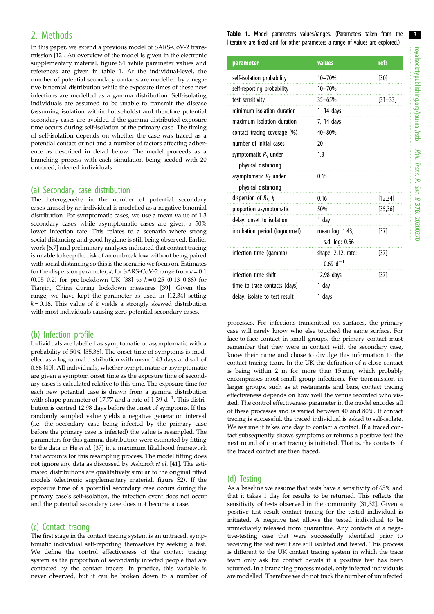## 2. Methods

In this paper, we extend a previous model of SARS-CoV-2 transmission [\[12\]](#page-7-0). An overview of the model is given in the electronic supplementary material, figure S1 while parameter values and references are given in table 1. At the individual-level, the number of potential secondary contacts are modelled by a negative binomial distribution while the exposure times of these new infections are modelled as a gamma distribution. Self-isolating individuals are assumed to be unable to transmit the disease (assuming isolation within households) and therefore potential secondary cases are avoided if the gamma-distributed exposure time occurs during self-isolation of the primary case. The timing of self-isolation depends on whether the case was traced as a potential contact or not and a number of factors affecting adherence as described in detail below. The model proceeds as a branching process with each simulation being seeded with 20 untraced, infected individuals.

#### (a) Secondary case distribution

The heterogeneity in the number of potential secondary cases caused by an individual is modelled as a negative binomial distribution. For symptomatic cases, we use a mean value of 1.3 secondary cases while asymptomatic cases are given a 50% lower infection rate. This relates to a scenario where strong social distancing and good hygiene is still being observed. Earlier work [[6,7](#page-7-0)] and preliminary analyses indicated that contact tracing is unable to keep the risk of an outbreak low without being paired with social distancing so this is the scenario we focus on. Estimates for the dispersion parameter, k, for SARS-CoV-2 range from  $k = 0.1$ (0.05–0.2) for pre-lockdown UK [[38](#page-8-0)] to  $k = 0.25$  (0.13–0.88) for Tianjin, China during lockdown measures [\[39\]](#page-8-0). Given this range, we have kept the parameter as used in [\[12](#page-7-0)[,34\]](#page-8-0) setting  $k = 0.16$ . This value of k yields a strongly skewed distribution with most individuals causing zero potential secondary cases.

#### (b) Infection profile

Individuals are labelled as symptomatic or asymptomatic with a probability of 50% [\[35,36\]](#page-8-0). The onset time of symptoms is modelled as a lognormal distribution with mean 1.43 days and s.d. of 0.66 [\[40\]](#page-8-0). All individuals, whether symptomatic or asymptomatic are given a symptom onset time as the exposure time of secondary cases is calculated relative to this time. The exposure time for each new potential case is drawn from a gamma distribution with shape parameter of 17.77 and a rate of 1.39  $d^{-1}$ . This distribution is centred 12.98 days before the onset of symptoms. If this randomly sampled value yields a negative generation interval (i.e. the secondary case being infected by the primary case before the primary case is infected) the value is resampled. The parameters for this gamma distribution were estimated by fitting to the data in He et al. [\[37\]](#page-8-0) in a maximum likelihood framework that accounts for this resampling process. The model fitting does not ignore any data as discussed by Ashcroft et al. [[41](#page-8-0)]. The estimated distributions are qualitatively similar to the original fitted models (electronic supplementary material, figure S2). If the exposure time of a potential secondary case occurs during the primary case's self-isolation, the infection event does not occur and the potential secondary case does not become a case.

#### (c) Contact tracing

The first stage in the contact tracing system is an untraced, symptomatic individual self-reporting themselves by seeking a test. We define the control effectiveness of the contact tracing system as the proportion of secondarily infected people that are contacted by the contact tracers. In practice, this variable is never observed, but it can be broken down to a number of Table 1. Model parameters values/ranges. (Parameters taken from the literature are fixed and for other parameters a range of values are explored.)

| parameter                     | values             | refs        |
|-------------------------------|--------------------|-------------|
| self-isolation probability    | $10 - 70%$         | $[30]$      |
| self-reporting probability    | $10 - 70%$         |             |
| test sensitivity              | $35 - 65%$         | $[31 - 33]$ |
| minimum isolation duration    | $1-14$ days        |             |
| maximum isolation duration    | 7, 14 days         |             |
| contact tracing coverage (%)  | 40-80%             |             |
| number of initial cases       | 20                 |             |
| symptomatic $RS$ under        | 1.3                |             |
| physical distancing           |                    |             |
| asymptomatic $RS$ under       | 0.65               |             |
| physical distancing           |                    |             |
| dispersion of $RS$ , k        | 0.16               | [12, 34]    |
| proportion asymptomatic       | 50%                | [35, 36]    |
| delay: onset to isolation     | 1 day              |             |
| incubation period (lognormal) | mean log: 1.43,    | $[37]$      |
|                               | s.d. log: 0.66     |             |
| infection time (gamma)        | shape: 2.12, rate: | $[37]$      |
|                               | $0.69 d^{-1}$      |             |
| infection time shift          | 12.98 days         | $[37]$      |
| time to trace contacts (days) | 1 day              |             |
| delay: isolate to test result | 1 days             |             |

processes. For infections transmitted on surfaces, the primary case will rarely know who else touched the same surface. For face-to-face contact in small groups, the primary contact must remember that they were in contact with the secondary case, know their name and chose to divulge this information to the contact tracing team. In the UK the definition of a close contact is being within 2 m for more than 15 min, which probably encompasses most small group infections. For transmission in larger groups, such as at restaurants and bars, contact tracing effectiveness depends on how well the venue recorded who visited. The control effectiveness parameter in the model encodes all of these processes and is varied between 40 and 80%. If contact tracing is successful, the traced individual is asked to self-isolate. We assume it takes one day to contact a contact. If a traced contact subsequently shows symptoms or returns a positive test the next round of contact tracing is initiated. That is, the contacts of the traced contact are then traced.

#### (d) Testing

As a baseline we assume that tests have a sensitivity of 65% and that it takes 1 day for results to be returned. This reflects the sensitivity of tests observed in the community [\[31,32\]](#page-8-0). Given a positive test result contact tracing for the tested individual is initiated. A negative test allows the tested individual to be immediately released from quarantine. Any contacts of a negative-testing case that were successfully identified prior to receiving the test result are still isolated and tested. This process is different to the UK contact tracing system in which the trace team only ask for contact details if a positive test has been returned. In a branching process model, only infected individuals are modelled. Therefore we do not track the number of uninfected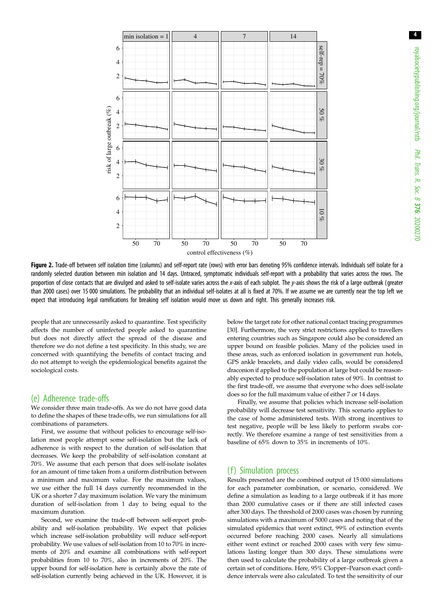<span id="page-3-0"></span>

Figure 2. Trade-off between self isolation time (columns) and self-report rate (rows) with error bars denoting 95% confidence intervals. Individuals self isolate for a randomly selected duration between min isolation and 14 days. Untraced, symptomatic individuals self-report with a probability that varies across the rows. The proportion of close contacts that are divulged and asked to self-isolate varies across the x-axis of each subplot. The y-axis shows the risk of a large outbreak (greater than 2000 cases) over 15 000 simulations. The probability that an individual self-isolates at all is fixed at 70%. If we assume we are currently near the top left we expect that introducing legal ramifications for breaking self isolation would move us down and right. This generally increases risk.

people that are unnecessarily asked to quarantine. Test specificity affects the number of uninfected people asked to quarantine but does not directly affect the spread of the disease and therefore we do not define a test specificity. In this study, we are concerned with quantifying the benefits of contact tracing and do not attempt to weigh the epidemiological benefits against the sociological costs.

#### (e) Adherence trade-offs

We consider three main trade-offs. As we do not have good data to define the shapes of these trade-offs, we run simulations for all combinations of parameters.

First, we assume that without policies to encourage self-isolation most people attempt some self-isolation but the lack of adherence is with respect to the duration of self-isolation that decreases. We keep the probability of self-isolation constant at 70%. We assume that each person that does self-isolate isolates for an amount of time taken from a uniform distribution between a minimum and maximum value. For the maximum values, we use either the full 14 days currently recommended in the UK or a shorter 7 day maximum isolation. We vary the minimum duration of self-isolation from 1 day to being equal to the maximum duration.

Second, we examine the trade-off between self-report probability and self-isolation probability. We expect that policies which increase self-isolation probability will reduce self-report probability. We use values of self-isolation from 10 to 70% in increments of 20% and examine all combinations with self-report probabilities from 10 to 70%, also in increments of 20%. The upper bound for self-isolation here is certainly above the rate of self-isolation currently being achieved in the UK. However, it is below the target rate for other national contact tracing programmes [\[30\]](#page-8-0). Furthermore, the very strict restrictions applied to travellers entering countries such as Singapore could also be considered an upper bound on feasible policies. Many of the policies used in these areas, such as enforced isolation in government run hotels, GPS ankle bracelets, and daily video calls, would be considered draconion if applied to the population at large but could be reasonably expected to produce self-isolation rates of 90%. In contrast to the first trade-off, we assume that everyone who does self-isolate does so for the full maximum value of either 7 or 14 days.

Finally, we assume that policies which increase self-isolation probability will decrease test sensitivity. This scenario applies to the case of home administered tests. With strong incentives to test negative, people will be less likely to perform swabs correctly. We therefore examine a range of test sensitivities from a baseline of 65% down to 35% in increments of 10%.

#### (f) Simulation process

Results presented are the combined output of 15 000 simulations for each parameter combination, or scenario, considered. We define a simulation as leading to a large outbreak if it has more than 2000 cumulative cases or if there are still infected cases after 300 days. The threshold of 2000 cases was chosen by running simulations with a maximum of 5000 cases and noting that of the simulated epidemics that went extinct, 99% of extinction events occurred before reaching 2000 cases. Nearly all simulations either went extinct or reached 2000 cases with very few simulations lasting longer than 300 days. These simulations were then used to calculate the probability of a large outbreak given a certain set of conditions. Here, 95% Clopper–Pearson exact confidence intervals were also calculated. To test the sensitivity of our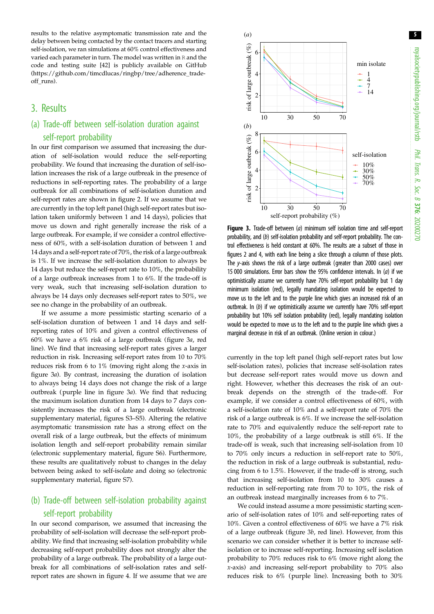results to the relative asymptomatic transmission rate and the delay between being contacted by the contact tracers and starting self-isolation, we ran simulations at 60% control effectiveness and varied each parameter in turn. The model was written in R and the code and testing suite [[42](#page-8-0)] is publicly available on GitHub [\(https://github.com/timcdlucas/ringbp/tree/adherence\\_trade](https://github.com/timcdlucas/ringbp/tree/adherence_tradeoff_runs)[off\\_runs](https://github.com/timcdlucas/ringbp/tree/adherence_tradeoff_runs)).

## 3. Results

## (a) Trade-off between self-isolation duration against self-report probability

In our first comparison we assumed that increasing the duration of self-isolation would reduce the self-reporting probability. We found that increasing the duration of self-isolation increases the risk of a large outbreak in the presence of reductions in self-reporting rates. The probability of a large outbreak for all combinations of self-isolation duration and self-report rates are shown in [figure 2.](#page-3-0) If we assume that we are currently in the top left panel (high self-report rates but isolation taken uniformly between 1 and 14 days), policies that move us down and right generally increase the risk of a large outbreak. For example, if we consider a control effectiveness of 60%, with a self-isolation duration of between 1 and 14 days and a self-report rate of 70%, the risk of a large outbreak is 1%. If we increase the self-isolation duration to always be 14 days but reduce the self-report rate to 10%, the probability of a large outbreak increases from 1 to 6%. If the trade-off is very weak, such that increasing self-isolation duration to always be 14 days only decreases self-report rates to 50%, we see no change in the probability of an outbreak.

If we assume a more pessimistic starting scenario of a self-isolation duration of between 1 and 14 days and selfreporting rates of 10% and given a control effectiveness of 60% we have a 6% risk of a large outbreak (figure 3a, red line). We find that increasing self-report rates gives a larger reduction in risk. Increasing self-report rates from 10 to 70% reduces risk from 6 to 1% (moving right along the x-axis in figure 3a). By contrast, increasing the duration of isolation to always being 14 days does not change the risk of a large outbreak (purple line in figure 3a). We find that reducing the maximum isolation duration from 14 days to 7 days consistently increases the risk of a large outbreak (electronic supplementary material, figures S3–S5). Altering the relative asymptomatic transmission rate has a strong effect on the overall risk of a large outbreak, but the effects of minimum isolation length and self-report probability remain similar (electronic supplementary material, figure S6). Furthermore, these results are qualitatively robust to changes in the delay between being asked to self-isolate and doing so (electronic supplementary material, figure S7).

## (b) Trade-off between self-isolation probability against self-report probability

In our second comparison, we assumed that increasing the probability of self-isolation will decrease the self-report probability. We find that increasing self-isolation probability while decreasing self-report probability does not strongly alter the probability of a large outbreak. The probability of a large outbreak for all combinations of self-isolation rates and selfreport rates are shown in [figure 4](#page-5-0). If we assume that we are



Figure 3. Trade-off between (a) minimum self isolation time and self-report probability, and (b) self-isolation probability and self-report probability. The control effectiveness is held constant at 60%. The results are a subset of those in figures [2](#page-3-0) and [4,](#page-5-0) with each line being a slice through a column of those plots. The y-axis shows the risk of a large outbreak (greater than 2000 cases) over 15 000 simulations. Error bars show the 95% confidence intervals. In  $(a)$  if we optimistically assume we currently have 70% self-report probability but 1 day minimum isolation (red), legally mandating isolation would be expected to move us to the left and to the purple line which gives an increased risk of an outbreak. In (b) if we optimistically assume we currently have 70% self-report probability but 10% self isolation probability (red), legally mandating isolation would be expected to move us to the left and to the purple line which gives a marginal decrease in risk of an outbreak. (Online version in colour.)

currently in the top left panel (high self-report rates but low self-isolation rates), policies that increase self-isolation rates but decrease self-report rates would move us down and right. However, whether this decreases the risk of an outbreak depends on the strength of the trade-off. For example, if we consider a control effectiveness of 60%, with a self-isolation rate of 10% and a self-report rate of 70% the risk of a large outbreak is 6%. If we increase the self-isolation rate to 70% and equivalently reduce the self-report rate to 10%, the probability of a large outbreak is still 6%. If the trade-off is weak, such that increasing self-isolation from 10 to 70% only incurs a reduction in self-report rate to 50%, the reduction in risk of a large outbreak is substantial, reducing from 6 to 1.5%. However, if the trade-off is strong, such that increasing self-isolation from 10 to 30% causes a reduction in self-reporting rate from 70 to 10%, the risk of an outbreak instead marginally increases from 6 to 7%.

We could instead assume a more pessimistic starting scenario of self-isolation rates of 10% and self-reporting rates of 10%. Given a control effectiveness of 60% we have a 7% risk of a large outbreak (figure 3b, red line). However, from this scenario we can consider whether it is better to increase selfisolation or to increase self-reporting. Increasing self isolation probability to 70% reduces risk to 6% (move right along the x-axis) and increasing self-report probability to 70% also reduces risk to 6% (purple line). Increasing both to 30%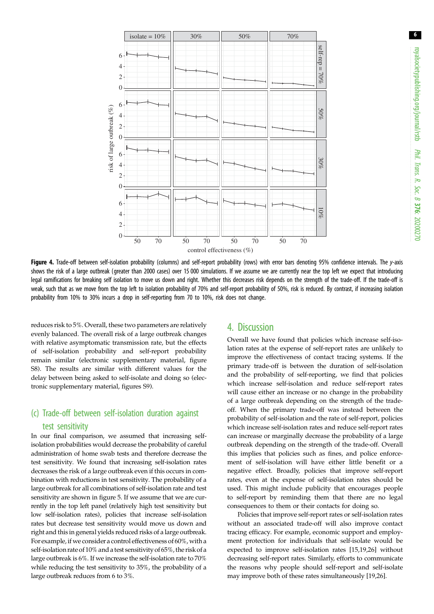<span id="page-5-0"></span>

Figure 4. Trade-off between self-isolation probability (columns) and self-report probability (rows) with error bars denoting 95% confidence intervals. The v-axis shows the risk of a large outbreak (greater than 2000 cases) over 15 000 simulations. If we assume we are currently near the top left we expect that introducing legal ramifications for breaking self isolation to move us down and right. Whether this decreases risk depends on the strength of the trade-off. If the trade-off is weak, such that as we move from the top left to isolation probability of 70% and self-report probability of 50%, risk is reduced. By contrast, if increasing isolation probability from 10% to 30% incurs a drop in self-reporting from 70 to 10%, risk does not change.

reduces risk to 5%. Overall, these two parameters are relatively evenly balanced. The overall risk of a large outbreak changes with relative asymptomatic transmission rate, but the effects of self-isolation probability and self-report probability remain similar (electronic supplementary material, figure S8). The results are similar with different values for the delay between being asked to self-isolate and doing so (electronic supplementary material, figures S9).

## (c) Trade-off between self-isolation duration against test sensitivity

In our final comparison, we assumed that increasing selfisolation probabilities would decrease the probability of careful administration of home swab tests and therefore decrease the test sensitivity. We found that increasing self-isolation rates decreases the risk of a large outbreak even if this occurs in combination with reductions in test sensitivity. The probability of a large outbreak for all combinations of self-isolation rate and test sensitivity are shown in [figure 5](#page-6-0). If we assume that we are currently in the top left panel (relatively high test sensitivity but low self-isolation rates), policies that increase self-isolation rates but decrease test sensitivity would move us down and right and this in general yields reduced risks of a large outbreak. For example, if we consider a control effectiveness of 60%, with a self-isolation rate of 10% and a test sensitivity of 65%, the risk of a large outbreak is 6%. If we increase the self-isolation rate to 70% while reducing the test sensitivity to 35%, the probability of a large outbreak reduces from 6 to 3%.

## 4. Discussion

Overall we have found that policies which increase self-isolation rates at the expense of self-report rates are unlikely to improve the effectiveness of contact tracing systems. If the primary trade-off is between the duration of self-isolation and the probability of self-reporting, we find that policies which increase self-isolation and reduce self-report rates will cause either an increase or no change in the probability of a large outbreak depending on the strength of the tradeoff. When the primary trade-off was instead between the probability of self-isolation and the rate of self-report, policies which increase self-isolation rates and reduce self-report rates can increase or marginally decrease the probability of a large outbreak depending on the strength of the trade-off. Overall this implies that policies such as fines, and police enforcement of self-isolation will have either little benefit or a negative effect. Broadly, policies that improve self-report rates, even at the expense of self-isolation rates should be used. This might include publicity that encourages people to self-report by reminding them that there are no legal consequences to them or their contacts for doing so.

Policies that improve self-report rates or self-isolation rates without an associated trade-off will also improve contact tracing efficacy. For example, economic support and employment protection for individuals that self-isolate would be expected to improve self-isolation rates [\[15](#page-7-0),[19,26\]](#page-8-0) without decreasing self-report rates. Similarly, efforts to communicate the reasons why people should self-report and self-isolate may improve both of these rates simultaneously [[19,26\]](#page-8-0).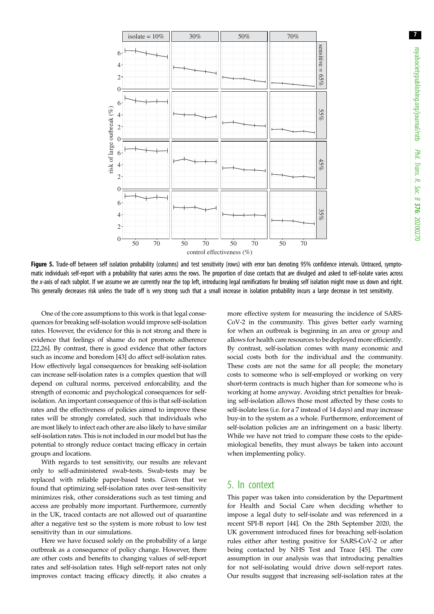<span id="page-6-0"></span>

Figure 5. Trade-off between self isolation probability (columns) and test sensitivity (rows) with error bars denoting 95% confidence intervals. Untraced, symptomatic individuals self-report with a probability that varies across the rows. The proportion of close contacts that are divulged and asked to self-isolate varies across the x-axis of each subplot. If we assume we are currently near the top left, introducing legal ramifications for breaking self isolation might move us down and right. This generally decreases risk unless the trade off is very strong such that a small increase in isolation probability incurs a large decrease in test sensitivity.

One of the core assumptions to this work is that legal consequences for breaking self-isolation would improve self-isolation rates. However, the evidence for this is not strong and there is evidence that feelings of shame do not promote adherence [\[22,26](#page-8-0)]. By contrast, there is good evidence that other factors such as income and boredom [\[43\]](#page-8-0) do affect self-isolation rates. How effectively legal consequences for breaking self-isolation can increase self-isolation rates is a complex question that will depend on cultural norms, perceived enforcability, and the strength of economic and psychological consequences for selfisolation. An important consequence of this is that self-isolation rates and the effectiveness of policies aimed to improve these rates will be strongly correlated, such that individuals who are most likely to infect each other are also likely to have similar self-isolation rates. This is not included in our model but has the potential to strongly reduce contact tracing efficacy in certain groups and locations.

With regards to test sensitivity, our results are relevant only to self-administered swab-tests. Swab-tests may be replaced with reliable paper-based tests. Given that we found that optimizing self-isolation rates over test-sensitivity minimizes risk, other considerations such as test timing and access are probably more important. Furthermore, currently in the UK, traced contacts are not allowed out of quarantine after a negative test so the system is more robust to low test sensitivity than in our simulations.

Here we have focused solely on the probability of a large outbreak as a consequence of policy change. However, there are other costs and benefits to changing values of self-report rates and self-isolation rates. High self-report rates not only improves contact tracing efficacy directly, it also creates a

more effective system for measuring the incidence of SARS-CoV-2 in the community. This gives better early warning for when an outbreak is beginning in an area or group and allows for health care resources to be deployed more efficiently. By contrast, self-isolation comes with many economic and social costs both for the individual and the community. These costs are not the same for all people; the monetary costs to someone who is self-employed or working on very short-term contracts is much higher than for someone who is working at home anyway. Avoiding strict penalties for breaking self-isolation allows those most affected by these costs to self-isolate less (i.e. for a 7 instead of 14 days) and may increase buy-in to the system as a whole. Furthermore, enforcement of self-isolation policies are an infringement on a basic liberty. While we have not tried to compare these costs to the epidemiological benefits, they must always be taken into account when implementing policy.

#### 5. In context

This paper was taken into consideration by the Department for Health and Social Care when deciding whether to impose a legal duty to self-isolate and was referenced in a recent SPI-B report [\[44](#page-8-0)]. On the 28th September 2020, the UK government introduced fines for breaching self-isolation rules either after testing positive for SARS-CoV-2 or after being contacted by NHS Test and Trace [[45\]](#page-8-0). The core assumption in our analysis was that introducing penalties for not self-isolating would drive down self-report rates. Our results suggest that increasing self-isolation rates at the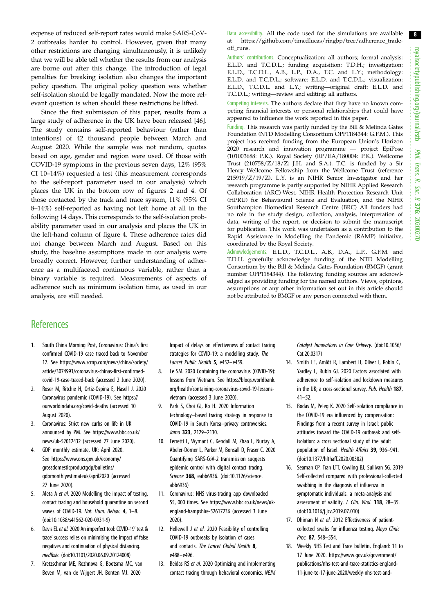<span id="page-7-0"></span>expense of reduced self-report rates would make SARS-CoV-2 outbreaks harder to control. However, given that many other restrictions are changing simultaneously, it is unlikely that we will be able tell whether the results from our analysis are borne out after this change. The introduction of legal penalties for breaking isolation also changes the important policy question. The original policy question was whether self-isolation should be legally mandated. Now the more relevant question is when should these restrictions be lifted.

Since the first submission of this paper, results from a large study of adherence in the UK have been released [\[46](#page-8-0)]. The study contains self-reported behaviour (rather than intentions) of 42 thousand people between March and August 2020. While the sample was not random, quotas based on age, gender and region were used. Of those with COVID-19 symptoms in the previous seven days, 12% (95% CI 10–14%) requested a test (this measurement corresponds to the self-report parameter used in our analysis) which places the UK in the bottom row of figures [2](#page-3-0) and [4.](#page-5-0) Of those contacted by the track and trace system, 11% (95% CI 8–14%) self-reported as having not left home at all in the following 14 days. This corresponds to the self-isolation probability parameter used in our analysis and places the UK in the left-hand column of [figure 4.](#page-5-0) These adherence rates did not change between March and August. Based on this study, the baseline assumptions made in our analysis were broadly correct. However, further understanding of adherence as a multifaceted continuous variable, rather than a binary variable is required. Measurements of aspects of adherence such as minimum isolation time, as used in our analysis, are still needed.

Data accessibility. All the code used for the simulations are available at [https://github.com/timcdlucas/ringbp/tree/adherence\\_trade](https://github.com/timcdlucas/ringbp/tree/adherence_tradeoff_runs)[off\\_runs.](https://github.com/timcdlucas/ringbp/tree/adherence_tradeoff_runs)

Authors' contributions. Conceptualization: all authors; formal analysis: E.L.D. and T.C.D.L.; funding acquisition: T.D.H.; investigation: E.L.D., T.C.D.L., A.B., L.P., D.A., T.C. and L.Y.; methodology: E.L.D. and T.C.D.L.; software: E.L.D. and T.C.D.L.; visualization: E.L.D., T.C.D.L. and L.Y.; writing—original draft: E.L.D. and T.C.D.L.; writing—review and editing: all authors.

Competing interests. The authors declare that they have no known competing financial interests or personal relationships that could have appeared to influence the work reported in this paper.

Funding. This research was partly funded by the Bill & Melinda Gates Foundation (NTD Modelling Consortium OPP1184344: G.F.M.). This project has received funding from the European Union's Horizon 2020 research and innovation programme — project EpiPose (101003688: P.K.). Royal Society (RP/EA/180004: P.K.). Wellcome Trust (210758/Z/18/Z: J.H. and S.A.). T.C. is funded by a Sir Henry Wellcome Fellowship from the Wellcome Trust (reference 215919/Z/19/Z). L.Y. is an NIHR Senior Investigator and her research programme is partly supported by NIHR Applied Research Collaboration (ARC)-West, NIHR Health Protection Research Unit (HPRU) for Behavioural Science and Evaluation, and the NIHR Southampton Biomedical Research Centre (BRC) All funders had no role in the study design, collection, analysis, interpretation of data, writing of the report, or decision to submit the manuscript for publication. This work was undertaken as a contribution to the Rapid Assistance in Modelling the Pandemic (RAMP) initiative, coordinated by the Royal Society.

Acknowledgements. E.L.D., T.C.D.L., A.B., D.A., L.P., G.F.M. and T.D.H. gratefully acknowledge funding of the NTD Modelling Consortium by the Bill & Melinda Gates Foundation (BMGF) (grant number OPP1184344). The following funding sources are acknowledged as providing funding for the named authors. Views, opinions, assumptions or any other information set out in this article should not be attributed to BMGF or any person connected with them.

## **References**

- 1. South China Morning Post, Coronavirus: China's first confirmed COVID-19 case traced back to November 17. See [https://www.scmp.com/news/china/society/](https://www.scmp.com/news/china/society/article/3074991/coronavirus-chinas-first-confirmed-covid-19-case-traced-back) [article/3074991/coronavirus-chinas-first-confirmed](https://www.scmp.com/news/china/society/article/3074991/coronavirus-chinas-first-confirmed-covid-19-case-traced-back)[covid-19-case-traced-back](https://www.scmp.com/news/china/society/article/3074991/coronavirus-chinas-first-confirmed-covid-19-case-traced-back) (accessed 2 June 2020).
- 2. Roser M, Ritchie H, Ortiz-Ospina E, Hasell J. 2020 Coronavirus pandemic (COVID-19). See [https://](https://ourworldindata.org/covid-deaths) [ourworldindata.org/covid-deaths](https://ourworldindata.org/covid-deaths) (accessed 10 August 2020).
- 3. Coronavirus: Strict new curbs on life in UK announced by PM. See [https://www.bbc.co.uk/](https://www.bbc.co.uk/news/uk-52012432) [news/uk-52012432](https://www.bbc.co.uk/news/uk-52012432) (accessed 27 June 2020).
- 4. GDP monthly estimate, UK: April 2020. See [https://www.ons.gov.uk/economy/](https://www.ons.gov.uk/economy/grossdomesticproductgdp/bulletins/gdpmonthlyestimateuk/april2020) [grossdomesticproductgdp/bulletins/](https://www.ons.gov.uk/economy/grossdomesticproductgdp/bulletins/gdpmonthlyestimateuk/april2020) [gdpmonthlyestimateuk/april2020](https://www.ons.gov.uk/economy/grossdomesticproductgdp/bulletins/gdpmonthlyestimateuk/april2020) (accessed 27 June 2020).
- 5. Aleta A et al. 2020 Modelling the impact of testing, contact tracing and household quarantine on second waves of COVID-19. Nat. Hum. Behav. 4, 1-8. [\(doi:10.1038/s41562-020-0931-9\)](http://dx.doi.org/10.1038/s41562-020-0931-9)
- 6. Davis EL et al. 2020 An imperfect tool: COVID-19' test & trace' success relies on minimising the impact of false negatives and continuation of physical distancing. medRxiv. [\(doi:10.1101/2020.06.09.20124008\)](http://dx.doi.org/10.1101/2020.06.09.20124008)
- 7. Kretzschmar ME, Rozhnova G, Bootsma MC, van Boven M, van de Wijgert JH, Bonten MJ. 2020

Impact of delays on effectiveness of contact tracing strategies for COVID-19: a modelling study. The Lancet Public Health 5, e452–e459.

- 8. Le SM. 2020 Containing the coronavirus (COVID-19): lessons from Vietnam. See [https://blogs.worldbank.](https://blogs.worldbank.org/health/containing-coronavirus-covid-19-lessons-vietnam) [org/health/containing-coronavirus-covid-19-lessons](https://blogs.worldbank.org/health/containing-coronavirus-covid-19-lessons-vietnam)[vietnam](https://blogs.worldbank.org/health/containing-coronavirus-covid-19-lessons-vietnam) (accessed 3 June 2020).
- 9. Park S, Choi GJ, Ko H. 2020 Information technology–based tracing strategy in response to COVID-19 in South Korea–privacy controversies. Jama 323, 2129–2130.
- 10. Ferretti L, Wymant C, Kendall M, Zhao L, Nurtay A, Abeler-Dörner L, Parker M, Bonsall D, Fraser C. 2020 Quantifying SARS-CoV-2 transmission suggests epidemic control with digital contact tracing. Science 368, eabb6936. ([doi:10.1126/science.](http://dx.doi.org/10.1126/science.abb6936) [abb6936\)](http://dx.doi.org/10.1126/science.abb6936)
- 11. Coronavirus: NHS virus-tracing app downloaded 55, 000 times. See [https://www.bbc.co.uk/news/uk](https://www.bbc.co.uk/news/uk-england-hampshire-52617236)[england-hampshire-52617236](https://www.bbc.co.uk/news/uk-england-hampshire-52617236) (accessed 3 June 2020).
- 12. Hellewell J et al. 2020 Feasibility of controlling COVID-19 outbreaks by isolation of cases and contacts. The Lancet Global Health 8, e488–e496.
- 13. Beidas RS et al. 2020 Optimizing and implementing contact tracing through behavioral economics. NEJM

Catalyst Innovations in Care Delivery. ([doi:10.1056/](http://dx.doi.org/10.1056/Cat.20.0317) [Cat.20.0317\)](http://dx.doi.org/10.1056/Cat.20.0317)

- 14. Smith LE, Amlôt R, Lambert H, Oliver I, Robin C, Yardley L, Rubin GJ. 2020 Factors associated with adherence to self-isolation and lockdown measures in the UK; a cross-sectional survey. Pub. Health 187, 41–52.
- 15. Bodas M, Peleg K. 2020 Self-isolation compliance in the COVID-19 era influenced by compensation: Findings from a recent survey in Israel: public attitudes toward the COVID-19 outbreak and selfisolation: a cross sectional study of the adult population of Israel. Health Affairs 39, 936–941. ([doi:10.1377/hlthaff.2020.00382](http://dx.doi.org/10.1377/hlthaff.2020.00382))
- 16. Seaman CP, Tran LTT, Cowling BJ, Sullivan SG. 2019 Self-collected compared with professional-collected swabbing in the diagnosis of influenza in symptomatic individuals: a meta-analysis and assessment of validity. J. Clin. Virol. 118, 28-35. ([doi:10.1016/j.jcv.2019.07.010\)](http://dx.doi.org/10.1016/j.jcv.2019.07.010)
- 17. Dhiman N et al. 2012 Effectiveness of patientcollected swabs for influenza testing. Mayo Clinic Proc. 87, 548–554.
- 18. Weekly NHS Test and Trace bulletin, England: 11 to 17 June 2020. [https://www.gov.uk/government/](https://www.gov.uk/government/publications/nhs-test-and-trace-statistics-england-11-june-to-17-june-2020/weekly-nhs-test-and-trace-bulletin-england-11-to-17-june-2020#fn:1) [publications/nhs-test-and-trace-statistics-england-](https://www.gov.uk/government/publications/nhs-test-and-trace-statistics-england-11-june-to-17-june-2020/weekly-nhs-test-and-trace-bulletin-england-11-to-17-june-2020#fn:1)[11-june-to-17-june-2020/weekly-nhs-test-and-](https://www.gov.uk/government/publications/nhs-test-and-trace-statistics-england-11-june-to-17-june-2020/weekly-nhs-test-and-trace-bulletin-england-11-to-17-june-2020#fn:1)